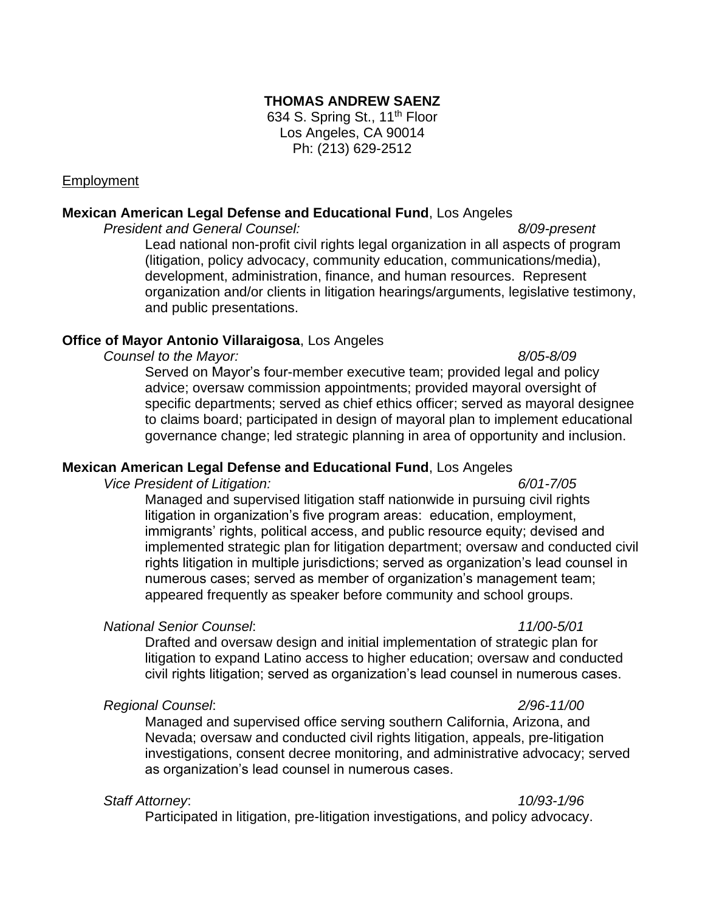## **THOMAS ANDREW SAENZ**

634 S. Spring St., 11<sup>th</sup> Floor Los Angeles, CA 90014 Ph: (213) 629-2512

### Employment

### **Mexican American Legal Defense and Educational Fund**, Los Angeles

*President and General Counsel: 8/09-present* Lead national non-profit civil rights legal organization in all aspects of program (litigation, policy advocacy, community education, communications/media), development, administration, finance, and human resources. Represent organization and/or clients in litigation hearings/arguments, legislative testimony, and public presentations.

### **Office of Mayor Antonio Villaraigosa**, Los Angeles

*Counsel to the Mayor: 8/05-8/09*

Served on Mayor's four-member executive team; provided legal and policy advice; oversaw commission appointments; provided mayoral oversight of specific departments; served as chief ethics officer; served as mayoral designee to claims board; participated in design of mayoral plan to implement educational governance change; led strategic planning in area of opportunity and inclusion.

### **Mexican American Legal Defense and Educational Fund**, Los Angeles

*Vice President of Litigation: 6/01-7/05*

Managed and supervised litigation staff nationwide in pursuing civil rights litigation in organization's five program areas: education, employment, immigrants' rights, political access, and public resource equity; devised and implemented strategic plan for litigation department; oversaw and conducted civil rights litigation in multiple jurisdictions; served as organization's lead counsel in numerous cases; served as member of organization's management team; appeared frequently as speaker before community and school groups.

### *National Senior Counsel*: *11/00-5/01*

Drafted and oversaw design and initial implementation of strategic plan for litigation to expand Latino access to higher education; oversaw and conducted civil rights litigation; served as organization's lead counsel in numerous cases.

### *Regional Counsel*: *2/96-11/00*

Managed and supervised office serving southern California, Arizona, and Nevada; oversaw and conducted civil rights litigation, appeals, pre-litigation investigations, consent decree monitoring, and administrative advocacy; served as organization's lead counsel in numerous cases.

*Staff Attorney*: *10/93-1/96* Participated in litigation, pre-litigation investigations, and policy advocacy.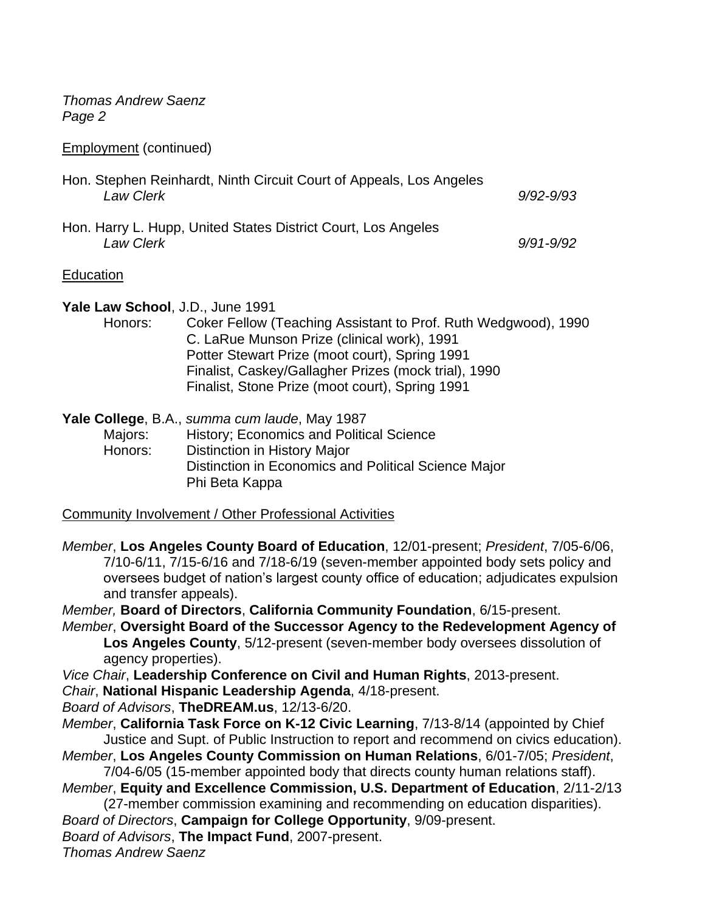*Thomas Andrew Saenz Page 2*

Employment (continued)

| Hon. Stephen Reinhardt, Ninth Circuit Court of Appeals, Los Angeles<br><b>Law Clerk</b> | $9/92 - 9/93$ |
|-----------------------------------------------------------------------------------------|---------------|
| Hon. Harry L. Hupp, United States District Court, Los Angeles<br>Law Clerk              | $9/91 - 9/92$ |

## **Education**

**Yale Law School**, J.D., June 1991

Honors: Coker Fellow (Teaching Assistant to Prof. Ruth Wedgwood), 1990 C. LaRue Munson Prize (clinical work), 1991 Potter Stewart Prize (moot court), Spring 1991 Finalist, Caskey/Gallagher Prizes (mock trial), 1990 Finalist, Stone Prize (moot court), Spring 1991

**Yale College**, B.A., *summa cum laude*, May 1987 Majors: History; Economics and Political Science Honors: Distinction in History Major Distinction in Economics and Political Science Major Phi Beta Kappa

Community Involvement / Other Professional Activities

*Member*, **Los Angeles County Board of Education**, 12/01-present; *President*, 7/05-6/06, 7/10-6/11, 7/15-6/16 and 7/18-6/19 (seven-member appointed body sets policy and oversees budget of nation's largest county office of education; adjudicates expulsion and transfer appeals).

*Member,* **Board of Directors**, **California Community Foundation**, 6/15-present.

*Member*, **Oversight Board of the Successor Agency to the Redevelopment Agency of Los Angeles County**, 5/12-present (seven-member body oversees dissolution of agency properties).

*Vice Chair*, **Leadership Conference on Civil and Human Rights**, 2013-present.

*Chair*, **National Hispanic Leadership Agenda**, 4/18-present.

*Board of Advisors*, **TheDREAM.us**, 12/13-6/20.

*Member*, **California Task Force on K-12 Civic Learning**, 7/13-8/14 (appointed by Chief Justice and Supt. of Public Instruction to report and recommend on civics education).

*Member*, **Los Angeles County Commission on Human Relations**, 6/01-7/05; *President*, 7/04-6/05 (15-member appointed body that directs county human relations staff).

*Member*, **Equity and Excellence Commission, U.S. Department of Education**, 2/11-2/13 (27-member commission examining and recommending on education disparities).

*Board of Directors*, **Campaign for College Opportunity**, 9/09-present.

*Board of Advisors*, **The Impact Fund**, 2007-present.

*Thomas Andrew Saenz*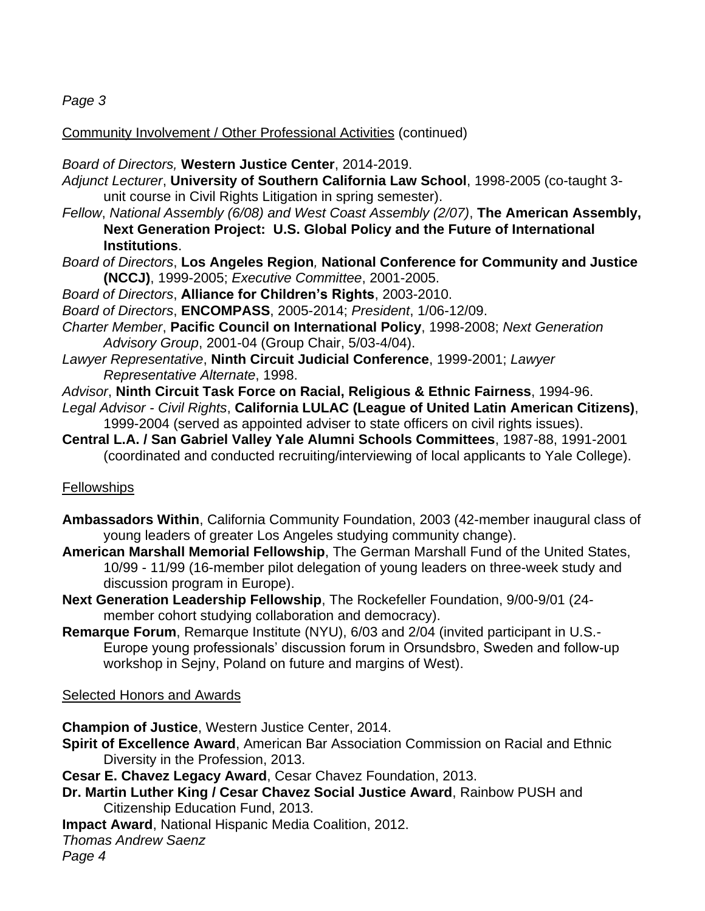*Page 3*

Community Involvement / Other Professional Activities (continued)

*Board of Directors,* **Western Justice Center**, 2014-2019.

*Adjunct Lecturer*, **University of Southern California Law School**, 1998-2005 (co-taught 3 unit course in Civil Rights Litigation in spring semester).

- *Fellow*, *National Assembly (6/08) and West Coast Assembly (2/07)*, **The American Assembly, Next Generation Project: U.S. Global Policy and the Future of International Institutions**.
- *Board of Directors*, **Los Angeles Region***,* **National Conference for Community and Justice (NCCJ)**, 1999-2005; *Executive Committee*, 2001-2005.

*Board of Directors*, **Alliance for Children's Rights**, 2003-2010.

*Board of Directors*, **ENCOMPASS**, 2005-2014; *President*, 1/06-12/09.

- *Charter Member*, **Pacific Council on International Policy**, 1998-2008; *Next Generation Advisory Group*, 2001-04 (Group Chair, 5/03-4/04).
- *Lawyer Representative*, **Ninth Circuit Judicial Conference**, 1999-2001; *Lawyer Representative Alternate*, 1998.
- *Advisor*, **Ninth Circuit Task Force on Racial, Religious & Ethnic Fairness**, 1994-96.
- *Legal Advisor - Civil Rights*, **California LULAC (League of United Latin American Citizens)**, 1999-2004 (served as appointed adviser to state officers on civil rights issues).
- **Central L.A. / San Gabriel Valley Yale Alumni Schools Committees**, 1987-88, 1991-2001 (coordinated and conducted recruiting/interviewing of local applicants to Yale College).

# Fellowships

- **Ambassadors Within**, California Community Foundation, 2003 (42-member inaugural class of young leaders of greater Los Angeles studying community change).
- **American Marshall Memorial Fellowship**, The German Marshall Fund of the United States, 10/99 - 11/99 (16-member pilot delegation of young leaders on three-week study and discussion program in Europe).
- **Next Generation Leadership Fellowship**, The Rockefeller Foundation, 9/00-9/01 (24 member cohort studying collaboration and democracy).
- **Remarque Forum**, Remarque Institute (NYU), 6/03 and 2/04 (invited participant in U.S.- Europe young professionals' discussion forum in Orsundsbro, Sweden and follow-up workshop in Sejny, Poland on future and margins of West).

# **Selected Honors and Awards**

**Champion of Justice**, Western Justice Center, 2014.

**Spirit of Excellence Award**, American Bar Association Commission on Racial and Ethnic Diversity in the Profession, 2013.

**Cesar E. Chavez Legacy Award**, Cesar Chavez Foundation, 2013.

- **Dr. Martin Luther King / Cesar Chavez Social Justice Award**, Rainbow PUSH and Citizenship Education Fund, 2013.
- **Impact Award**, National Hispanic Media Coalition, 2012.
- *Thomas Andrew Saenz*

*Page 4*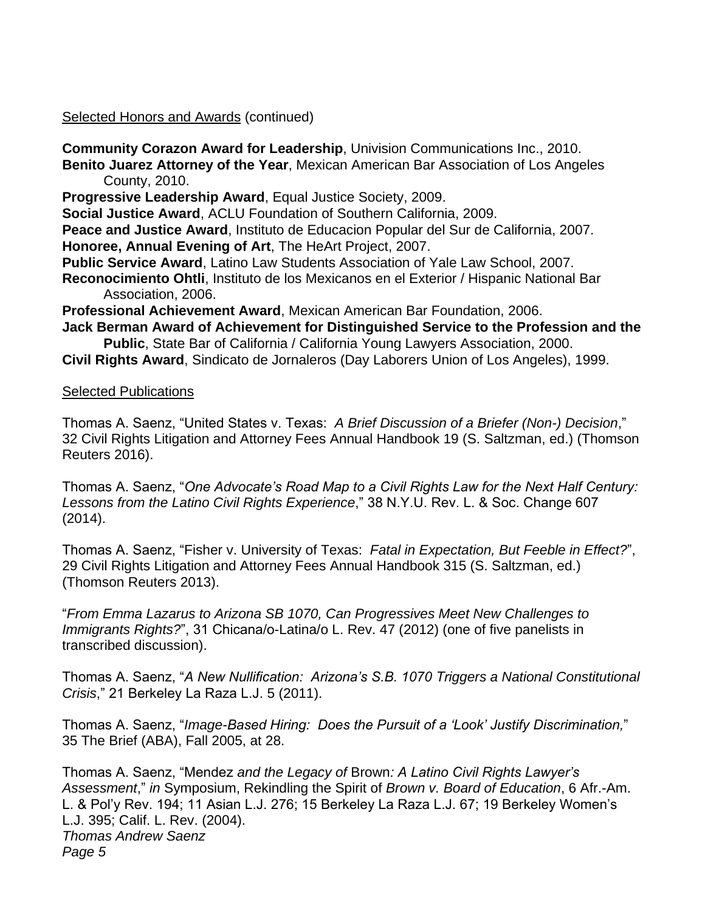Selected Honors and Awards (continued)

**Community Corazon Award for Leadership**, Univision Communications Inc., 2010. **Benito Juarez Attorney of the Year**, Mexican American Bar Association of Los Angeles County, 2010.

**Progressive Leadership Award**, Equal Justice Society, 2009.

**Social Justice Award**, ACLU Foundation of Southern California, 2009.

**Peace and Justice Award**, Instituto de Educacion Popular del Sur de California, 2007. **Honoree, Annual Evening of Art**, The HeArt Project, 2007.

**Public Service Award**, Latino Law Students Association of Yale Law School, 2007.

**Reconocimiento Ohtli**, Instituto de los Mexicanos en el Exterior / Hispanic National Bar Association, 2006.

**Professional Achievement Award**, Mexican American Bar Foundation, 2006.

**Jack Berman Award of Achievement for Distinguished Service to the Profession and the Public**, State Bar of California / California Young Lawyers Association, 2000.

**Civil Rights Award**, Sindicato de Jornaleros (Day Laborers Union of Los Angeles), 1999.

## Selected Publications

Thomas A. Saenz, "United States v. Texas: *A Brief Discussion of a Briefer (Non-) Decision*," 32 Civil Rights Litigation and Attorney Fees Annual Handbook 19 (S. Saltzman, ed.) (Thomson Reuters 2016).

Thomas A. Saenz, "*One Advocate's Road Map to a Civil Rights Law for the Next Half Century: Lessons from the Latino Civil Rights Experience*," 38 N.Y.U. Rev. L. & Soc. Change 607 (2014).

Thomas A. Saenz, "Fisher v. University of Texas: *Fatal in Expectation, But Feeble in Effect?*", 29 Civil Rights Litigation and Attorney Fees Annual Handbook 315 (S. Saltzman, ed.) (Thomson Reuters 2013).

"*From Emma Lazarus to Arizona SB 1070, Can Progressives Meet New Challenges to Immigrants Rights?*", 31 Chicana/o-Latina/o L. Rev. 47 (2012) (one of five panelists in transcribed discussion).

Thomas A. Saenz, "*A New Nullification: Arizona's S.B. 1070 Triggers a National Constitutional Crisis*," 21 Berkeley La Raza L.J. 5 (2011).

Thomas A. Saenz, "*Image-Based Hiring: Does the Pursuit of a 'Look' Justify Discrimination,*" 35 The Brief (ABA), Fall 2005, at 28.

Thomas A. Saenz, "Mendez *and the Legacy of* Brown*: A Latino Civil Rights Lawyer's Assessment*," *in* Symposium, Rekindling the Spirit of *Brown v. Board of Education*, 6 Afr.-Am. L. & Pol'y Rev. 194; 11 Asian L.J. 276; 15 Berkeley La Raza L.J. 67; 19 Berkeley Women's L.J. 395; Calif. L. Rev. (2004). *Thomas Andrew Saenz Page 5*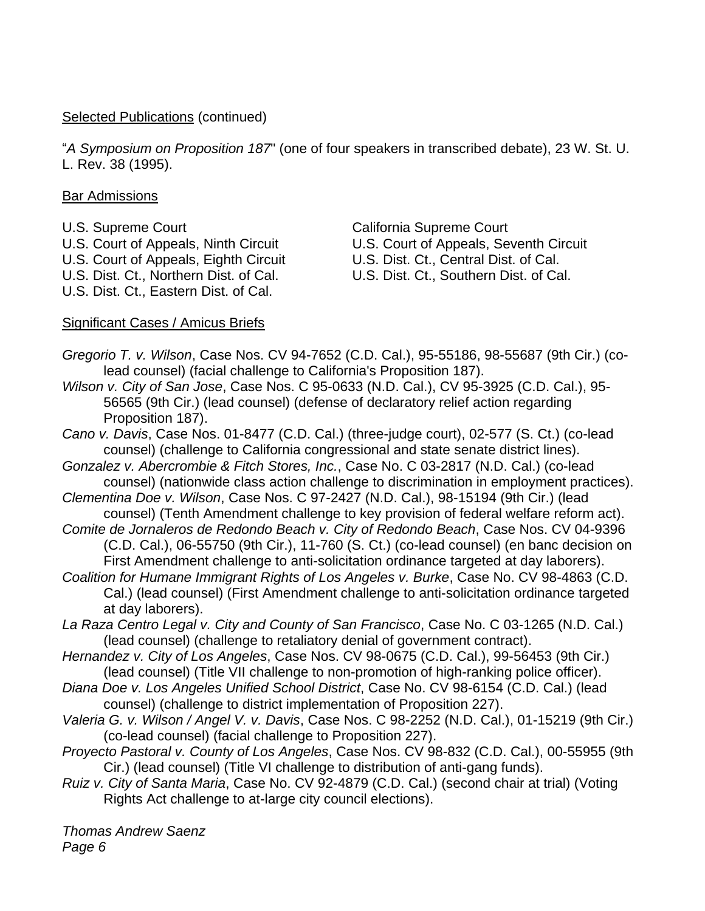## Selected Publications (continued)

"*A Symposium on Proposition 187*" (one of four speakers in transcribed debate), 23 W. St. U. L. Rev. 38 (1995).

## Bar Admissions

U.S. Supreme Court California Supreme Court U.S. Court of Appeals, Eighth Circuit U.S. Dist. Ct., Central Dist. of Cal. U.S. Dist. Ct., Northern Dist. of Cal. U.S. Dist. Ct., Southern Dist. of Cal. U.S. Dist. Ct., Eastern Dist. of Cal.

U.S. Court of Appeals, Ninth Circuit U.S. Court of Appeals, Seventh Circuit

## Significant Cases / Amicus Briefs

*Gregorio T. v. Wilson*, Case Nos. CV 94-7652 (C.D. Cal.), 95-55186, 98-55687 (9th Cir.) (colead counsel) (facial challenge to California's Proposition 187).

*Wilson v. City of San Jose*, Case Nos. C 95-0633 (N.D. Cal.), CV 95-3925 (C.D. Cal.), 95- 56565 (9th Cir.) (lead counsel) (defense of declaratory relief action regarding Proposition 187).

*Cano v. Davis*, Case Nos. 01-8477 (C.D. Cal.) (three-judge court), 02-577 (S. Ct.) (co-lead counsel) (challenge to California congressional and state senate district lines).

*Gonzalez v. Abercrombie & Fitch Stores, Inc.*, Case No. C 03-2817 (N.D. Cal.) (co-lead counsel) (nationwide class action challenge to discrimination in employment practices).

*Clementina Doe v. Wilson*, Case Nos. C 97-2427 (N.D. Cal.), 98-15194 (9th Cir.) (lead counsel) (Tenth Amendment challenge to key provision of federal welfare reform act).

*Comite de Jornaleros de Redondo Beach v. City of Redondo Beach*, Case Nos. CV 04-9396 (C.D. Cal.), 06-55750 (9th Cir.), 11-760 (S. Ct.) (co-lead counsel) (en banc decision on First Amendment challenge to anti-solicitation ordinance targeted at day laborers).

*Coalition for Humane Immigrant Rights of Los Angeles v. Burke*, Case No. CV 98-4863 (C.D. Cal.) (lead counsel) (First Amendment challenge to anti-solicitation ordinance targeted at day laborers).

*La Raza Centro Legal v. City and County of San Francisco*, Case No. C 03-1265 (N.D. Cal.) (lead counsel) (challenge to retaliatory denial of government contract).

- *Hernandez v. City of Los Angeles*, Case Nos. CV 98-0675 (C.D. Cal.), 99-56453 (9th Cir.) (lead counsel) (Title VII challenge to non-promotion of high-ranking police officer).
- *Diana Doe v. Los Angeles Unified School District*, Case No. CV 98-6154 (C.D. Cal.) (lead counsel) (challenge to district implementation of Proposition 227).
- *Valeria G. v. Wilson / Angel V. v. Davis*, Case Nos. C 98-2252 (N.D. Cal.), 01-15219 (9th Cir.) (co-lead counsel) (facial challenge to Proposition 227).
- *Proyecto Pastoral v. County of Los Angeles*, Case Nos. CV 98-832 (C.D. Cal.), 00-55955 (9th Cir.) (lead counsel) (Title VI challenge to distribution of anti-gang funds).
- *Ruiz v. City of Santa Maria*, Case No. CV 92-4879 (C.D. Cal.) (second chair at trial) (Voting Rights Act challenge to at-large city council elections).

*Thomas Andrew Saenz Page 6*